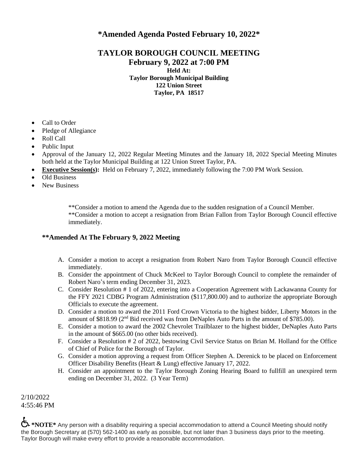## **\*Amended Agenda Posted February 10, 2022\***

## **TAYLOR BOROUGH COUNCIL MEETING February 9, 2022 at 7:00 PM Held At: Taylor Borough Municipal Building 122 Union Street Taylor, PA 18517**

- Call to Order
- Pledge of Allegiance
- Roll Call
- Public Input
- Approval of the January 12, 2022 Regular Meeting Minutes and the January 18, 2022 Special Meeting Minutes both held at the Taylor Municipal Building at 122 Union Street Taylor, PA.
- **Executive Session(s):** Held on February 7, 2022, immediately following the 7:00 PM Work Session.
- Old Business
- New Business

\*\*Consider a motion to amend the Agenda due to the sudden resignation of a Council Member. \*\*Consider a motion to accept a resignation from Brian Fallon from Taylor Borough Council effective immediately.

## **\*\*Amended At The February 9, 2022 Meeting**

- A. Consider a motion to accept a resignation from Robert Naro from Taylor Borough Council effective immediately.
- B. Consider the appointment of Chuck McKeel to Taylor Borough Council to complete the remainder of Robert Naro's term ending December 31, 2023.
- C. Consider Resolution # 1 of 2022, entering into a Cooperation Agreement with Lackawanna County for the FFY 2021 CDBG Program Administration (\$117,800.00) and to authorize the appropriate Borough Officials to execute the agreement.
- D. Consider a motion to award the 2011 Ford Crown Victoria to the highest bidder, Liberty Motors in the amount of \$818.99 (2nd Bid received was from DeNaples Auto Parts in the amount of \$785.00).
- E. Consider a motion to award the 2002 Chevrolet Trailblazer to the highest bidder, DeNaples Auto Parts in the amount of \$665.00 (no other bids received).
- F. Consider a Resolution # 2 of 2022, bestowing Civil Service Status on Brian M. Holland for the Office of Chief of Police for the Borough of Taylor.
- G. Consider a motion approving a request from Officer Stephen A. Derenick to be placed on Enforcement Officer Disability Benefits (Heart & Lung) effective January 17, 2022.
- H. Consider an appointment to the Taylor Borough Zoning Hearing Board to fullfill an unexpired term ending on December 31, 2022. (3 Year Term)

2/10/2022 4:55:46 PM

 $\xi$  \*NOTE\* Any person with a disability requiring a special accommodation to attend a Council Meeting should notify the Borough Secretary at (570) 562-1400 as early as possible, but not later than 3 business days prior to the meeting. Taylor Borough will make every effort to provide a reasonable accommodation.